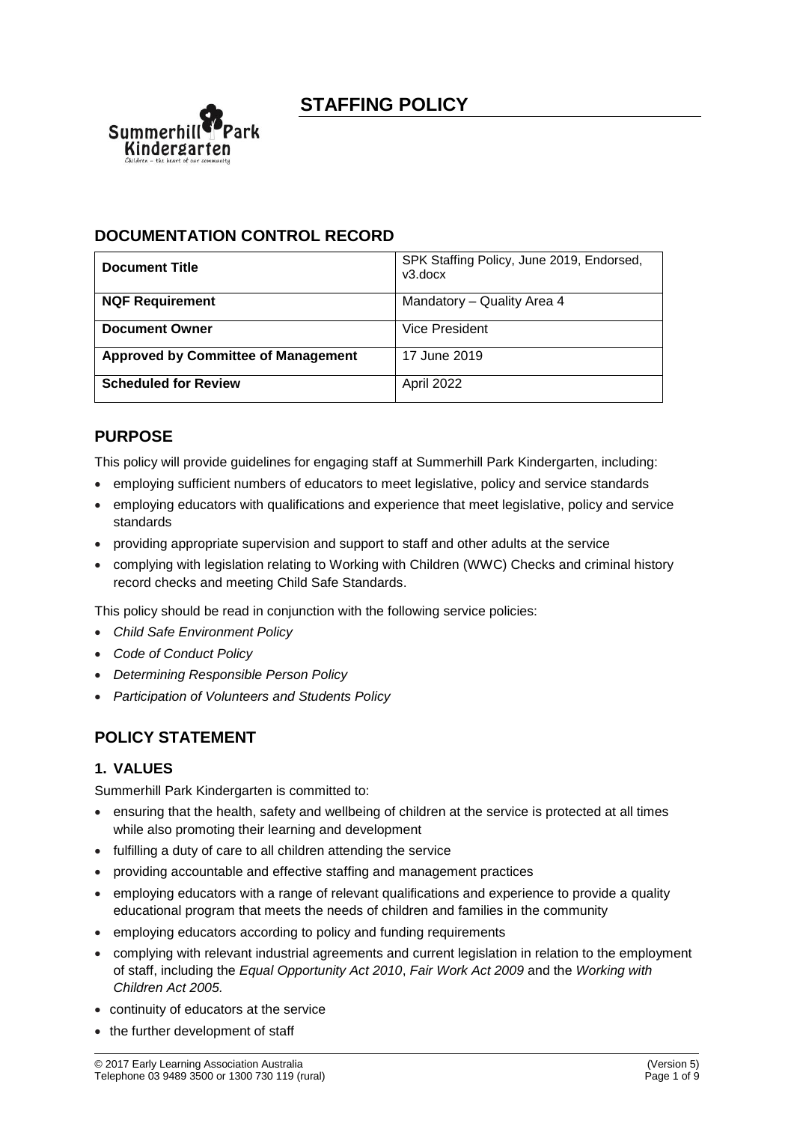

## **DOCUMENTATION CONTROL RECORD**

| <b>Document Title</b>                      | SPK Staffing Policy, June 2019, Endorsed,<br>v3.docx |
|--------------------------------------------|------------------------------------------------------|
| <b>NQF Requirement</b>                     | Mandatory – Quality Area 4                           |
| <b>Document Owner</b>                      | Vice President                                       |
| <b>Approved by Committee of Management</b> | 17 June 2019                                         |
| <b>Scheduled for Review</b>                | April 2022                                           |

# **PURPOSE**

This policy will provide guidelines for engaging staff at Summerhill Park Kindergarten, including:

- employing sufficient numbers of educators to meet legislative, policy and service standards
- employing educators with qualifications and experience that meet legislative, policy and service standards
- providing appropriate supervision and support to staff and other adults at the service
- complying with legislation relating to Working with Children (WWC) Checks and criminal history record checks and meeting Child Safe Standards.

This policy should be read in conjunction with the following service policies:

- *Child Safe Environment Policy*
- *Code of Conduct Policy*
- *Determining Responsible Person Policy*
- *Participation of Volunteers and Students Policy*

## **POLICY STATEMENT**

### **1. VALUES**

Summerhill Park Kindergarten is committed to:

- ensuring that the health, safety and wellbeing of children at the service is protected at all times while also promoting their learning and development
- fulfilling a duty of care to all children attending the service
- providing accountable and effective staffing and management practices
- employing educators with a range of relevant qualifications and experience to provide a quality educational program that meets the needs of children and families in the community
- employing educators according to policy and funding requirements
- complying with relevant industrial agreements and current legislation in relation to the employment of staff, including the *Equal Opportunity Act 2010*, *Fair Work Act 2009* and the *Working with Children Act 2005.*
- continuity of educators at the service
- the further development of staff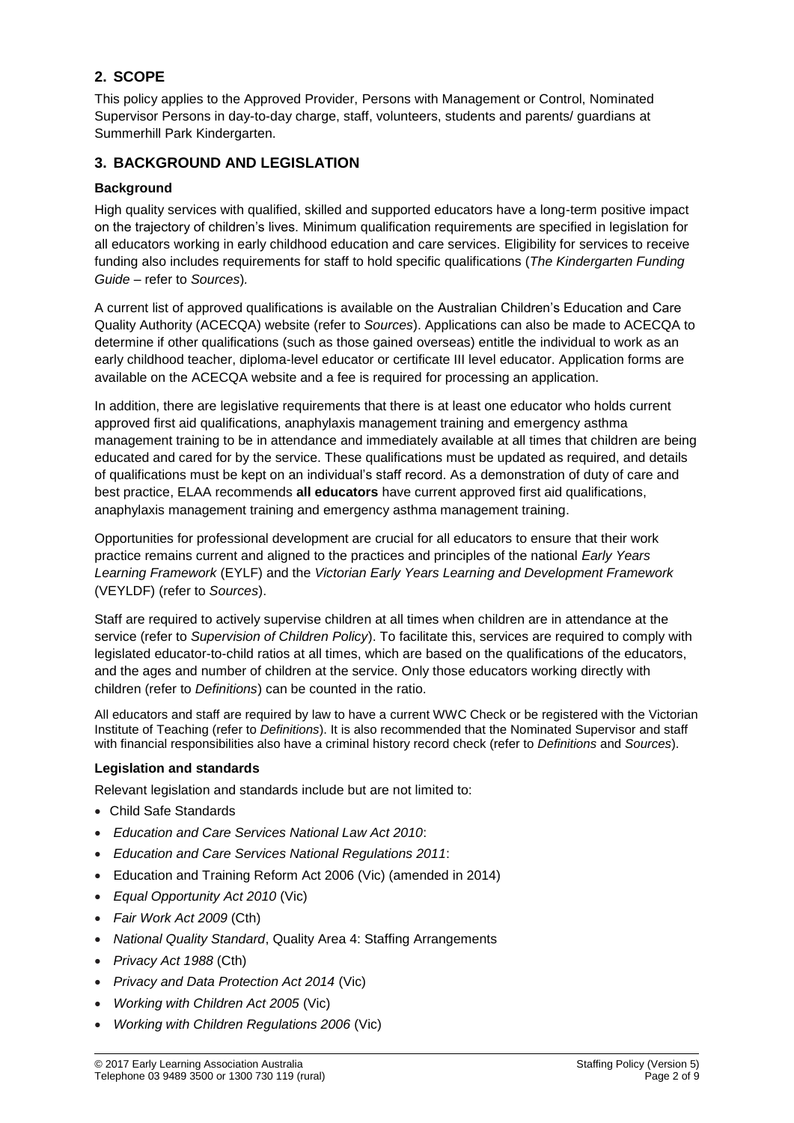## **2. SCOPE**

This policy applies to the Approved Provider, Persons with Management or Control, Nominated Supervisor Persons in day-to-day charge, staff, volunteers, students and parents/ guardians at Summerhill Park Kindergarten.

### **3. BACKGROUND AND LEGISLATION**

### **Background**

High quality services with qualified, skilled and supported educators have a long-term positive impact on the trajectory of children's lives. Minimum qualification requirements are specified in legislation for all educators working in early childhood education and care services. Eligibility for services to receive funding also includes requirements for staff to hold specific qualifications (*The Kindergarten Funding Guide –* refer to *Sources*)*.*

A current list of approved qualifications is available on the Australian Children's Education and Care Quality Authority (ACECQA) website (refer to *Sources*). Applications can also be made to ACECQA to determine if other qualifications (such as those gained overseas) entitle the individual to work as an early childhood teacher, diploma-level educator or certificate III level educator. Application forms are available on the ACECQA website and a fee is required for processing an application.

In addition, there are legislative requirements that there is at least one educator who holds current approved first aid qualifications, anaphylaxis management training and emergency asthma management training to be in attendance and immediately available at all times that children are being educated and cared for by the service. These qualifications must be updated as required, and details of qualifications must be kept on an individual's staff record. As a demonstration of duty of care and best practice, ELAA recommends **all educators** have current approved first aid qualifications, anaphylaxis management training and emergency asthma management training.

Opportunities for professional development are crucial for all educators to ensure that their work practice remains current and aligned to the practices and principles of the national *Early Years Learning Framework* (EYLF) and the *Victorian Early Years Learning and Development Framework* (VEYLDF) (refer to *Sources*).

Staff are required to actively supervise children at all times when children are in attendance at the service (refer to *Supervision of Children Policy*). To facilitate this, services are required to comply with legislated educator-to-child ratios at all times, which are based on the qualifications of the educators, and the ages and number of children at the service. Only those educators working directly with children (refer to *Definitions*) can be counted in the ratio.

All educators and staff are required by law to have a current WWC Check or be registered with the Victorian Institute of Teaching (refer to *Definitions*). It is also recommended that the Nominated Supervisor and staff with financial responsibilities also have a criminal history record check (refer to *Definitions* and *Sources*).

### **Legislation and standards**

Relevant legislation and standards include but are not limited to:

- Child Safe Standards
- *Education and Care Services National Law Act 2010*:
- *Education and Care Services National Regulations 2011*:
- Education and Training Reform Act 2006 (Vic) (amended in 2014)
- *Equal Opportunity Act 2010* (Vic)
- *Fair Work Act 2009* (Cth)
- *National Quality Standard*, Quality Area 4: Staffing Arrangements
- *Privacy Act 1988* (Cth)
- *Privacy and Data Protection Act 2014* (Vic)
- *Working with Children Act 2005* (Vic)
- *Working with Children Regulations 2006* (Vic)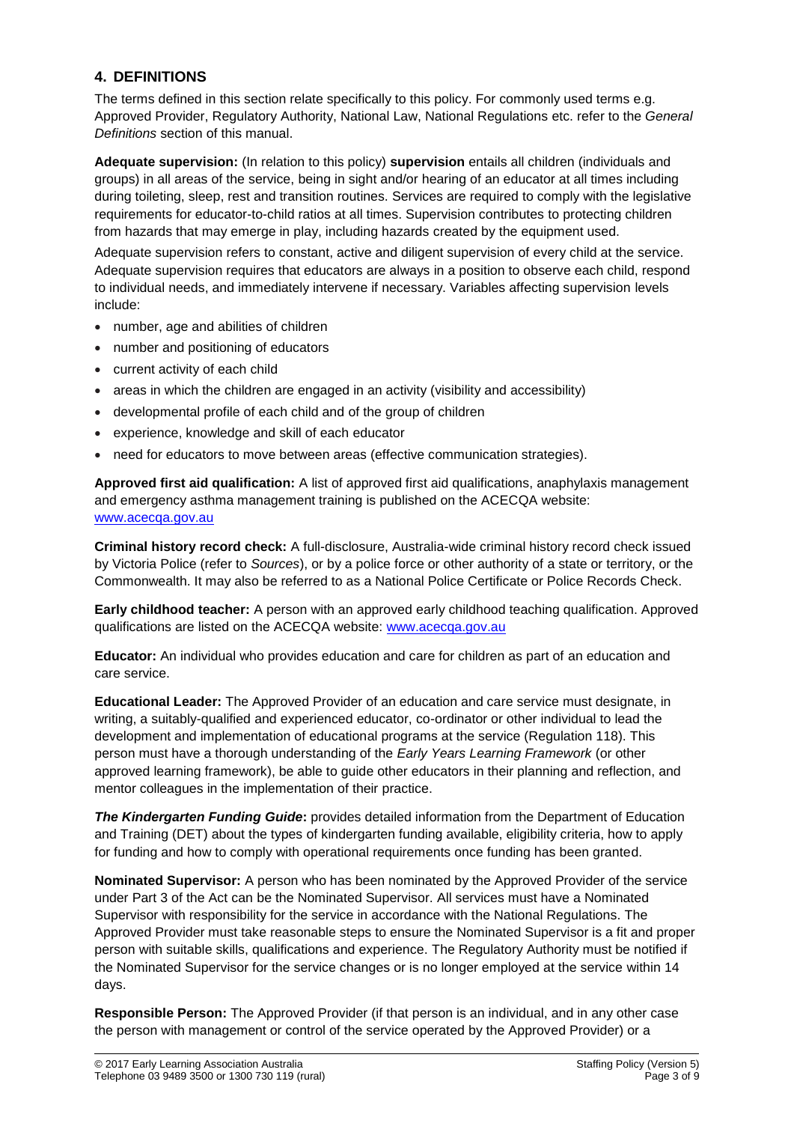### **4. DEFINITIONS**

The terms defined in this section relate specifically to this policy. For commonly used terms e.g. Approved Provider, Regulatory Authority, National Law, National Regulations etc. refer to the *General Definitions* section of this manual.

**Adequate supervision:** (In relation to this policy) **supervision** entails all children (individuals and groups) in all areas of the service, being in sight and/or hearing of an educator at all times including during toileting, sleep, rest and transition routines. Services are required to comply with the legislative requirements for educator-to-child ratios at all times. Supervision contributes to protecting children from hazards that may emerge in play, including hazards created by the equipment used.

Adequate supervision refers to constant, active and diligent supervision of every child at the service. Adequate supervision requires that educators are always in a position to observe each child, respond to individual needs, and immediately intervene if necessary. Variables affecting supervision levels include:

- number, age and abilities of children
- number and positioning of educators
- current activity of each child
- areas in which the children are engaged in an activity (visibility and accessibility)
- developmental profile of each child and of the group of children
- experience, knowledge and skill of each educator
- need for educators to move between areas (effective communication strategies).

**Approved first aid qualification:** A list of approved first aid qualifications, anaphylaxis management and emergency asthma management training is published on the ACECQA website: [www.acecqa.gov.au](http://www.acecqa.gov.au/)

**Criminal history record check:** A full-disclosure, Australia-wide criminal history record check issued by Victoria Police (refer to *Sources*), or by a police force or other authority of a state or territory, or the Commonwealth. It may also be referred to as a National Police Certificate or Police Records Check.

**Early childhood teacher:** A person with an approved early childhood teaching qualification. Approved qualifications are listed on the ACECQA website: [www.acecqa.gov.au](http://www.acecqa.gov.au/)

**Educator:** An individual who provides education and care for children as part of an education and care service.

**Educational Leader:** The Approved Provider of an education and care service must designate, in writing, a suitably-qualified and experienced educator, co-ordinator or other individual to lead the development and implementation of educational programs at the service (Regulation 118). This person must have a thorough understanding of the *Early Years Learning Framework* (or other approved learning framework), be able to guide other educators in their planning and reflection, and mentor colleagues in the implementation of their practice.

*The Kindergarten Funding Guide***:** provides detailed information from the Department of Education and Training (DET) about the types of kindergarten funding available, eligibility criteria, how to apply for funding and how to comply with operational requirements once funding has been granted.

**Nominated Supervisor:** A person who has been nominated by the Approved Provider of the service under Part 3 of the Act can be the Nominated Supervisor. All services must have a Nominated Supervisor with responsibility for the service in accordance with the National Regulations. The Approved Provider must take reasonable steps to ensure the Nominated Supervisor is a fit and proper person with suitable skills, qualifications and experience. The Regulatory Authority must be notified if the Nominated Supervisor for the service changes or is no longer employed at the service within 14 days.

**Responsible Person:** The Approved Provider (if that person is an individual, and in any other case the person with management or control of the service operated by the Approved Provider) or a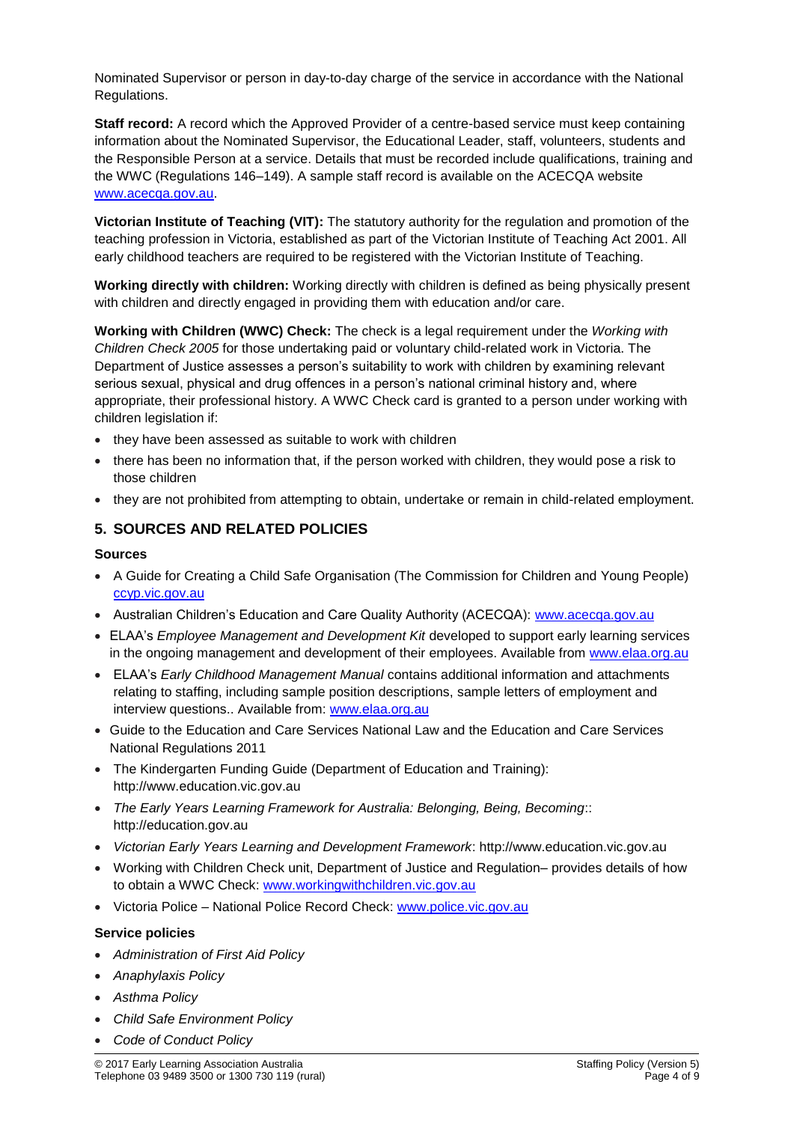Nominated Supervisor or person in day-to-day charge of the service in accordance with the National Regulations.

**Staff record:** A record which the Approved Provider of a centre-based service must keep containing information about the Nominated Supervisor, the Educational Leader, staff, volunteers, students and the Responsible Person at a service. Details that must be recorded include qualifications, training and the WWC (Regulations 146–149). A sample staff record is available on the ACECQA website [www.acecqa.gov.au.](http://www.acecqa.gov.au/)

**Victorian Institute of Teaching (VIT):** The statutory authority for the regulation and promotion of the teaching profession in Victoria, established as part of the Victorian Institute of Teaching Act 2001. All early childhood teachers are required to be registered with the Victorian Institute of Teaching.

**Working directly with children:** Working directly with children is defined as being physically present with children and directly engaged in providing them with education and/or care.

**Working with Children (WWC) Check:** The check is a legal requirement under the *Working with Children Check 2005* for those undertaking paid or voluntary child-related work in Victoria. The Department of Justice assesses a person's suitability to work with children by examining relevant serious sexual, physical and drug offences in a person's national criminal history and, where appropriate, their professional history. A WWC Check card is granted to a person under working with children legislation if:

- they have been assessed as suitable to work with children
- there has been no information that, if the person worked with children, they would pose a risk to those children
- they are not prohibited from attempting to obtain, undertake or remain in child-related employment.

### **5. SOURCES AND RELATED POLICIES**

#### **Sources**

- A Guide for Creating a Child Safe Organisation (The Commission for Children and Young People) [ccyp.vic.gov.au](https://ccyp.vic.gov.au/)
- Australian Children's Education and Care Quality Authority (ACECQA): [www.acecqa.gov.au](http://www.acecqa.gov.au/)
- ELAA's *Employee Management and Development Kit* developed to support early learning services in the ongoing management and development of their employees. Available from [www.elaa.org.au](http://www.elaa.org.au/)
- ELAA's *Early Childhood Management Manual* contains additional information and attachments relating to staffing, including sample position descriptions, sample letters of employment and interview questions.. Available from: [www.elaa.org.au](http://www.elaa.org.au/)
- Guide to the Education and Care Services National Law and the Education and Care Services National Regulations 2011
- The Kindergarten Funding Guide (Department of Education and Training): http://www.education.vic.gov.au
- *The Early Years Learning Framework for Australia: Belonging, Being, Becoming*:: http://education.gov.au
- *Victorian Early Years Learning and Development Framework*: http://www.education.vic.gov.au
- Working with Children Check unit, Department of Justice and Regulation– provides details of how to obtain a WWC Check: [www.workingwithchildren.vic.gov.au](http://www.workingwithchildren.vic.gov.au/)
- Victoria Police National Police Record Check: [www.police.vic.gov.au](http://www.police.vic.gov.au/)

### **Service policies**

- *Administration of First Aid Policy*
- *Anaphylaxis Policy*
- *Asthma Policy*
- *Child Safe Environment Policy*
- *Code of Conduct Policy*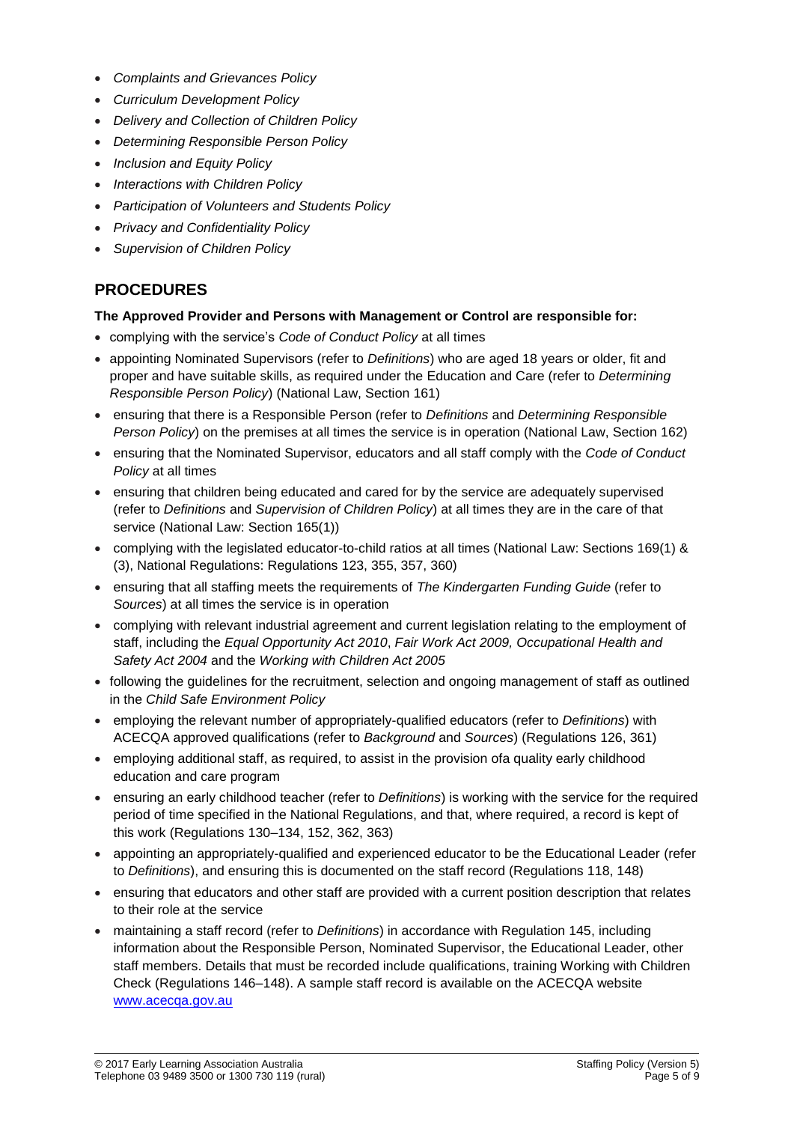- *Complaints and Grievances Policy*
- *Curriculum Development Policy*
- *Delivery and Collection of Children Policy*
- *Determining Responsible Person Policy*
- *Inclusion and Equity Policy*
- *Interactions with Children Policy*
- *Participation of Volunteers and Students Policy*
- *Privacy and Confidentiality Policy*
- *Supervision of Children Policy*

# **PROCEDURES**

### **The Approved Provider and Persons with Management or Control are responsible for:**

- complying with the service's *Code of Conduct Policy* at all times
- appointing Nominated Supervisors (refer to *Definitions*) who are aged 18 years or older, fit and proper and have suitable skills, as required under the Education and Care (refer to *Determining Responsible Person Policy*) (National Law, Section 161)
- ensuring that there is a Responsible Person (refer to *Definitions* and *Determining Responsible Person Policy*) on the premises at all times the service is in operation (National Law, Section 162)
- ensuring that the Nominated Supervisor, educators and all staff comply with the *Code of Conduct Policy* at all times
- ensuring that children being educated and cared for by the service are adequately supervised (refer to *Definitions* and *Supervision of Children Policy*) at all times they are in the care of that service (National Law: Section 165(1))
- complying with the legislated educator-to-child ratios at all times (National Law: Sections 169(1) & (3), National Regulations: Regulations 123, 355, 357, 360)
- ensuring that all staffing meets the requirements of *The Kindergarten Funding Guide* (refer to *Sources*) at all times the service is in operation
- complying with relevant industrial agreement and current legislation relating to the employment of staff, including the *Equal Opportunity Act 2010*, *Fair Work Act 2009, Occupational Health and Safety Act 2004* and the *Working with Children Act 2005*
- following the guidelines for the recruitment, selection and ongoing management of staff as outlined in the *Child Safe Environment Policy*
- employing the relevant number of appropriately-qualified educators (refer to *Definitions*) with ACECQA approved qualifications (refer to *Background* and *Sources*) (Regulations 126, 361)
- employing additional staff, as required, to assist in the provision ofa quality early childhood education and care program
- ensuring an early childhood teacher (refer to *Definitions*) is working with the service for the required period of time specified in the National Regulations, and that, where required, a record is kept of this work (Regulations 130–134, 152, 362, 363)
- appointing an appropriately-qualified and experienced educator to be the Educational Leader (refer to *Definitions*), and ensuring this is documented on the staff record (Regulations 118, 148)
- ensuring that educators and other staff are provided with a current position description that relates to their role at the service
- maintaining a staff record (refer to *Definitions*) in accordance with Regulation 145, including information about the Responsible Person, Nominated Supervisor, the Educational Leader, other staff members. Details that must be recorded include qualifications, training Working with Children Check (Regulations 146–148). A sample staff record is available on the ACECQA website [www.acecqa.gov.au](http://www.acecqa.gov.au/)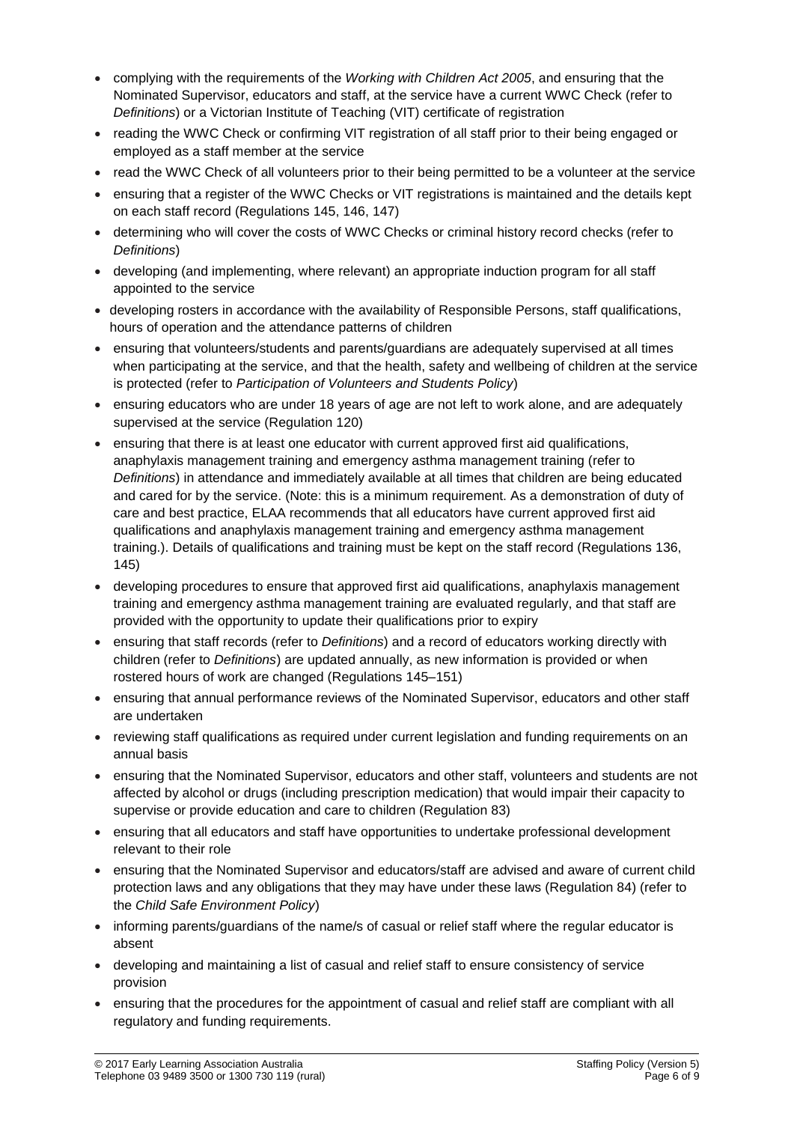- complying with the requirements of the *Working with Children Act 2005*, and ensuring that the Nominated Supervisor, educators and staff, at the service have a current WWC Check (refer to *Definitions*) or a Victorian Institute of Teaching (VIT) certificate of registration
- reading the WWC Check or confirming VIT registration of all staff prior to their being engaged or employed as a staff member at the service
- read the WWC Check of all volunteers prior to their being permitted to be a volunteer at the service
- ensuring that a register of the WWC Checks or VIT registrations is maintained and the details kept on each staff record (Regulations 145, 146, 147)
- determining who will cover the costs of WWC Checks or criminal history record checks (refer to *Definitions*)
- developing (and implementing, where relevant) an appropriate induction program for all staff appointed to the service
- developing rosters in accordance with the availability of Responsible Persons, staff qualifications, hours of operation and the attendance patterns of children
- ensuring that volunteers/students and parents/guardians are adequately supervised at all times when participating at the service, and that the health, safety and wellbeing of children at the service is protected (refer to *Participation of Volunteers and Students Policy*)
- ensuring educators who are under 18 years of age are not left to work alone, and are adequately supervised at the service (Regulation 120)
- ensuring that there is at least one educator with current approved first aid qualifications, anaphylaxis management training and emergency asthma management training (refer to *Definitions*) in attendance and immediately available at all times that children are being educated and cared for by the service. (Note: this is a minimum requirement. As a demonstration of duty of care and best practice, ELAA recommends that all educators have current approved first aid qualifications and anaphylaxis management training and emergency asthma management training.). Details of qualifications and training must be kept on the staff record (Regulations 136, 145)
- developing procedures to ensure that approved first aid qualifications, anaphylaxis management training and emergency asthma management training are evaluated regularly, and that staff are provided with the opportunity to update their qualifications prior to expiry
- ensuring that staff records (refer to *Definitions*) and a record of educators working directly with children (refer to *Definitions*) are updated annually, as new information is provided or when rostered hours of work are changed (Regulations 145–151)
- ensuring that annual performance reviews of the Nominated Supervisor, educators and other staff are undertaken
- reviewing staff qualifications as required under current legislation and funding requirements on an annual basis
- ensuring that the Nominated Supervisor, educators and other staff, volunteers and students are not affected by alcohol or drugs (including prescription medication) that would impair their capacity to supervise or provide education and care to children (Regulation 83)
- ensuring that all educators and staff have opportunities to undertake professional development relevant to their role
- ensuring that the Nominated Supervisor and educators/staff are advised and aware of current child protection laws and any obligations that they may have under these laws (Regulation 84) (refer to the *Child Safe Environment Policy*)
- informing parents/guardians of the name/s of casual or relief staff where the regular educator is absent
- developing and maintaining a list of casual and relief staff to ensure consistency of service provision
- ensuring that the procedures for the appointment of casual and relief staff are compliant with all regulatory and funding requirements.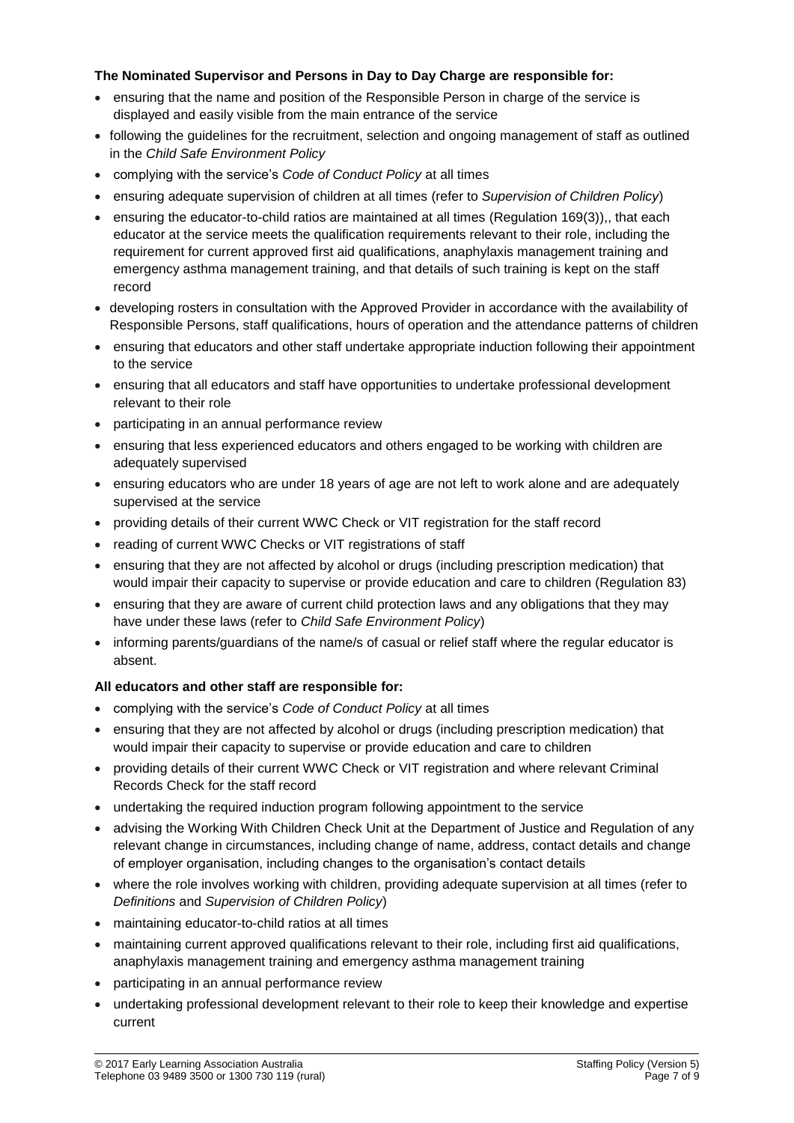### **The Nominated Supervisor and Persons in Day to Day Charge are responsible for:**

- ensuring that the name and position of the Responsible Person in charge of the service is displayed and easily visible from the main entrance of the service
- following the guidelines for the recruitment, selection and ongoing management of staff as outlined in the *Child Safe Environment Policy*
- complying with the service's *Code of Conduct Policy* at all times
- ensuring adequate supervision of children at all times (refer to *Supervision of Children Policy*)
- ensuring the educator-to-child ratios are maintained at all times (Regulation 169(3)), that each educator at the service meets the qualification requirements relevant to their role, including the requirement for current approved first aid qualifications, anaphylaxis management training and emergency asthma management training, and that details of such training is kept on the staff record
- developing rosters in consultation with the Approved Provider in accordance with the availability of Responsible Persons, staff qualifications, hours of operation and the attendance patterns of children
- ensuring that educators and other staff undertake appropriate induction following their appointment to the service
- ensuring that all educators and staff have opportunities to undertake professional development relevant to their role
- participating in an annual performance review
- ensuring that less experienced educators and others engaged to be working with children are adequately supervised
- ensuring educators who are under 18 years of age are not left to work alone and are adequately supervised at the service
- providing details of their current WWC Check or VIT registration for the staff record
- reading of current WWC Checks or VIT registrations of staff
- ensuring that they are not affected by alcohol or drugs (including prescription medication) that would impair their capacity to supervise or provide education and care to children (Regulation 83)
- ensuring that they are aware of current child protection laws and any obligations that they may have under these laws (refer to *Child Safe Environment Policy*)
- informing parents/guardians of the name/s of casual or relief staff where the regular educator is absent.

### **All educators and other staff are responsible for:**

- complying with the service's *Code of Conduct Policy* at all times
- ensuring that they are not affected by alcohol or drugs (including prescription medication) that would impair their capacity to supervise or provide education and care to children
- providing details of their current WWC Check or VIT registration and where relevant Criminal Records Check for the staff record
- undertaking the required induction program following appointment to the service
- advising the Working With Children Check Unit at the Department of Justice and Regulation of any relevant change in circumstances, including change of name, address, contact details and change of employer organisation, including changes to the organisation's contact details
- where the role involves working with children, providing adequate supervision at all times (refer to *Definitions* and *Supervision of Children Policy*)
- maintaining educator-to-child ratios at all times
- maintaining current approved qualifications relevant to their role, including first aid qualifications, anaphylaxis management training and emergency asthma management training
- participating in an annual performance review
- undertaking professional development relevant to their role to keep their knowledge and expertise current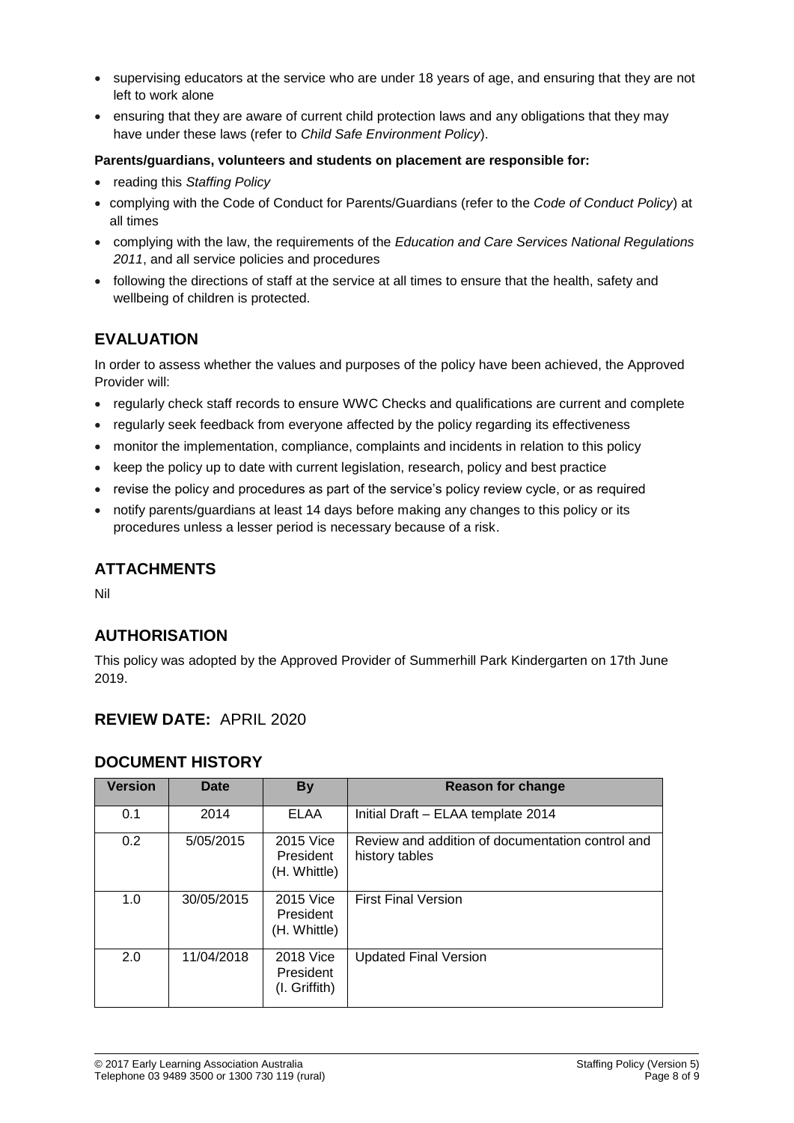- supervising educators at the service who are under 18 years of age, and ensuring that they are not left to work alone
- ensuring that they are aware of current child protection laws and any obligations that they may have under these laws (refer to *Child Safe Environment Policy*).

#### **Parents/guardians, volunteers and students on placement are responsible for:**

- reading this *Staffing Policy*
- complying with the Code of Conduct for Parents/Guardians (refer to the *Code of Conduct Policy*) at all times
- complying with the law, the requirements of the *Education and Care Services National Regulations 2011*, and all service policies and procedures
- following the directions of staff at the service at all times to ensure that the health, safety and wellbeing of children is protected.

# **EVALUATION**

In order to assess whether the values and purposes of the policy have been achieved, the Approved Provider will:

- regularly check staff records to ensure WWC Checks and qualifications are current and complete
- regularly seek feedback from everyone affected by the policy regarding its effectiveness
- monitor the implementation, compliance, complaints and incidents in relation to this policy
- keep the policy up to date with current legislation, research, policy and best practice
- revise the policy and procedures as part of the service's policy review cycle, or as required
- notify parents/guardians at least 14 days before making any changes to this policy or its procedures unless a lesser period is necessary because of a risk.

# **ATTACHMENTS**

Nil

## **AUTHORISATION**

This policy was adopted by the Approved Provider of Summerhill Park Kindergarten on 17th June 2019.

### **REVIEW DATE:** APRIL 2020

### **DOCUMENT HISTORY**

| <b>Version</b> | Date       | <b>By</b>                                      | Reason for change                                                  |
|----------------|------------|------------------------------------------------|--------------------------------------------------------------------|
| 0.1            | 2014       | <b>ELAA</b>                                    | Initial Draft - ELAA template 2014                                 |
| 0.2            | 5/05/2015  | 2015 Vice<br>President<br>(H. Whittle)         | Review and addition of documentation control and<br>history tables |
| 1.0            | 30/05/2015 | 2015 Vice<br>President<br>(H. Whittle)         | <b>First Final Version</b>                                         |
| 2.0            | 11/04/2018 | <b>2018 Vice</b><br>President<br>(I. Griffith) | <b>Updated Final Version</b>                                       |